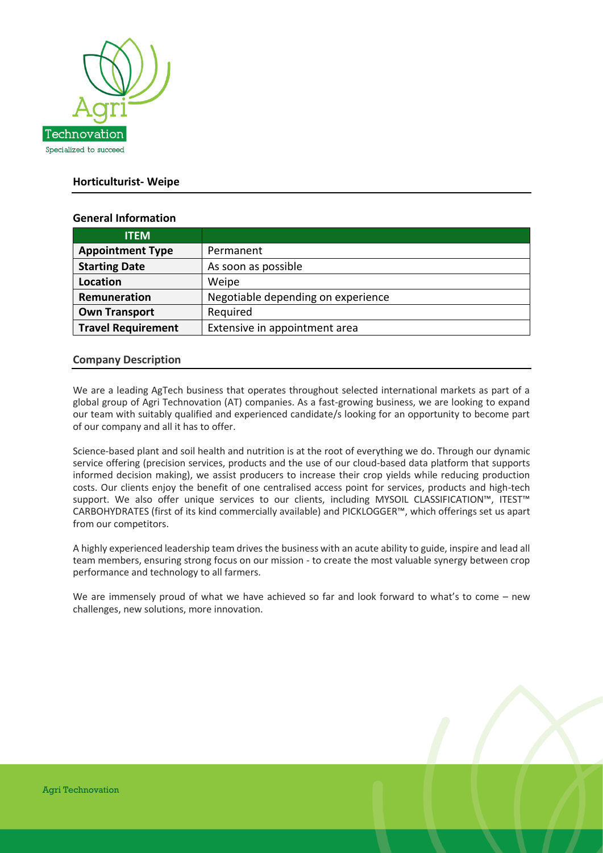

# **Horticulturist- Weipe**

## **General Information**

| <b>ITEM</b>               |                                    |
|---------------------------|------------------------------------|
| <b>Appointment Type</b>   | Permanent                          |
| <b>Starting Date</b>      | As soon as possible                |
| <b>Location</b>           | Weipe                              |
| Remuneration              | Negotiable depending on experience |
| <b>Own Transport</b>      | Required                           |
| <b>Travel Requirement</b> | Extensive in appointment area      |

## **Company Description**

We are a leading AgTech business that operates throughout selected international markets as part of a global group of Agri Technovation (AT) companies. As a fast-growing business, we are looking to expand our team with suitably qualified and experienced candidate/s looking for an opportunity to become part of our company and all it has to offer.

Science-based plant and soil health and nutrition is at the root of everything we do. Through our dynamic service offering (precision services, products and the use of our cloud-based data platform that supports informed decision making), we assist producers to increase their crop yields while reducing production costs. Our clients enjoy the benefit of one centralised access point for services, products and high-tech support. We also offer unique services to our clients, including MYSOIL CLASSIFICATION™, ITEST™ CARBOHYDRATES (first of its kind commercially available) and PICKLOGGER™, which offerings set us apart from our competitors.

A highly experienced leadership team drives the business with an acute ability to guide, inspire and lead all team members, ensuring strong focus on our mission - to create the most valuable synergy between crop performance and technology to all farmers.

We are immensely proud of what we have achieved so far and look forward to what's to come – new challenges, new solutions, more innovation.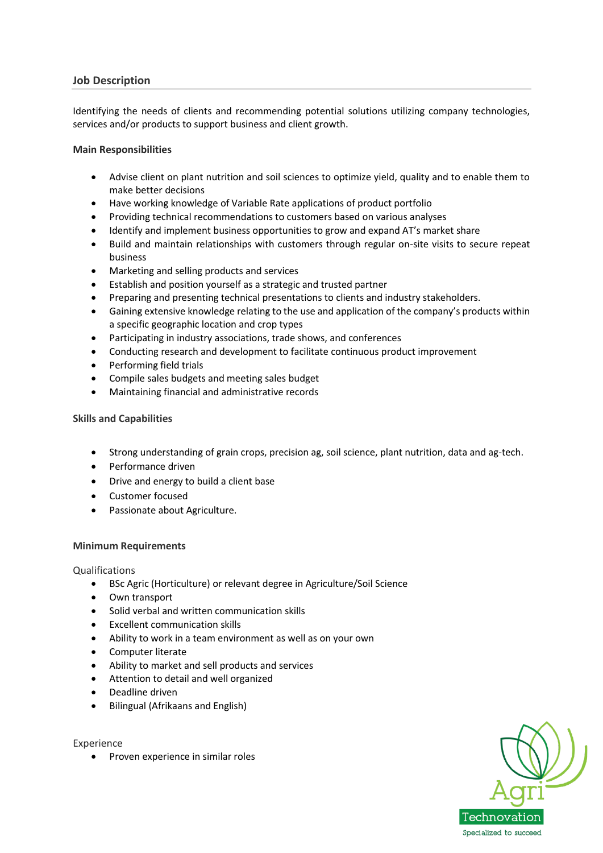# **Job Description**

Identifying the needs of clients and recommending potential solutions utilizing company technologies, services and/or products to support business and client growth.

#### **Main Responsibilities**

- Advise client on plant nutrition and soil sciences to optimize yield, quality and to enable them to make better decisions
- Have working knowledge of Variable Rate applications of product portfolio
- Providing technical recommendations to customers based on various analyses
- Identify and implement business opportunities to grow and expand AT's market share
- Build and maintain relationships with customers through regular on-site visits to secure repeat business
- Marketing and selling products and services
- Establish and position yourself as a strategic and trusted partner
- Preparing and presenting technical presentations to clients and industry stakeholders.
- Gaining extensive knowledge relating to the use and application of the company's products within a specific geographic location and crop types
- Participating in industry associations, trade shows, and conferences
- Conducting research and development to facilitate continuous product improvement
- Performing field trials
- Compile sales budgets and meeting sales budget
- Maintaining financial and administrative records

## **Skills and Capabilities**

- Strong understanding of grain crops, precision ag, soil science, plant nutrition, data and ag-tech.
- Performance driven
- Drive and energy to build a client base
- Customer focused
- Passionate about Agriculture.

## **Minimum Requirements**

Qualifications

- BSc Agric (Horticulture) or relevant degree in Agriculture/Soil Science
- Own transport
- Solid verbal and written communication skills
- Excellent communication skills
- Ability to work in a team environment as well as on your own
- Computer literate
- Ability to market and sell products and services
- Attention to detail and well organized
- Deadline driven
- Bilingual (Afrikaans and English)

Experience

• Proven experience in similar roles